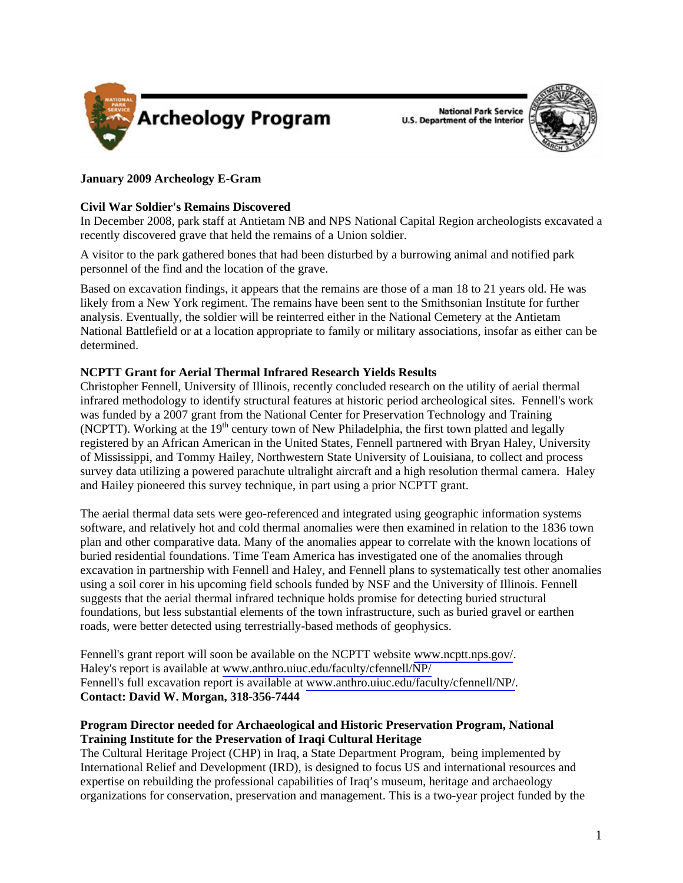

**National Park Service U.S. Department of the Interior** 



# **January 2009 Archeology E-Gram**

## **Civil War Soldier's Remains Discovered**

In December 2008, park staff at Antietam NB and NPS National Capital Region archeologists excavated a recently discovered grave that held the remains of a Union soldier.

A visitor to the park gathered bones that had been disturbed by a burrowing animal and notified park personnel of the find and the location of the grave.

Based on excavation findings, it appears that the remains are those of a man 18 to 21 years old. He was likely from a New York regiment. The remains have been sent to the Smithsonian Institute for further analysis. Eventually, the soldier will be reinterred either in the National Cemetery at the Antietam National Battlefield or at a location appropriate to family or military associations, insofar as either can be determined.

# **NCPTT Grant for Aerial Thermal Infrared Research Yields Results**

Christopher Fennell, University of Illinois, recently concluded research on the utility of aerial thermal infrared methodology to identify structural features at historic period archeological sites. Fennell's work was funded by a 2007 grant from the National Center for Preservation Technology and Training (NCPTT). Working at the  $19<sup>th</sup>$  century town of New Philadelphia, the first town platted and legally registered by an African American in the United States, Fennell partnered with Bryan Haley, University of Mississippi, and Tommy Hailey, Northwestern State University of Louisiana, to collect and process survey data utilizing a powered parachute ultralight aircraft and a high resolution thermal camera. Haley and Hailey pioneered this survey technique, in part using a prior NCPTT grant.

The aerial thermal data sets were geo-referenced and integrated using geographic information systems software, and relatively hot and cold thermal anomalies were then examined in relation to the 1836 town plan and other comparative data. Many of the anomalies appear to correlate with the known locations of buried residential foundations. Time Team America has investigated one of the anomalies through excavation in partnership with Fennell and Haley, and Fennell plans to systematically test other anomalies using a soil corer in his upcoming field schools funded by NSF and the University of Illinois. Fennell suggests that the aerial thermal infrared technique holds promise for detecting buried structural foundations, but less substantial elements of the town infrastructure, such as buried gravel or earthen roads, were better detected using terrestrially-based methods of geophysics.

Fennell's grant report will soon be available on the NCPTT website<www.ncptt.nps.gov/>. Haley's report is available at <www.anthro.uiuc.edu/faculty/cfennell/NP/> Fennell's full excavation report is available at [www.anthro.uiuc.edu/faculty/cfennell/NP/.](www.anthro.uiuc.edu/faculty/cfennell/NP/) **Contact: David W. Morgan, 318-356-7444** 

# **Program Director needed for Archaeological and Historic Preservation Program, National Training Institute for the Preservation of Iraqi Cultural Heritage**

The Cultural Heritage Project (CHP) in Iraq, a State Department Program, being implemented by International Relief and Development (IRD), is designed to focus US and international resources and expertise on rebuilding the professional capabilities of Iraq's museum, heritage and archaeology organizations for conservation, preservation and management. This is a two-year project funded by the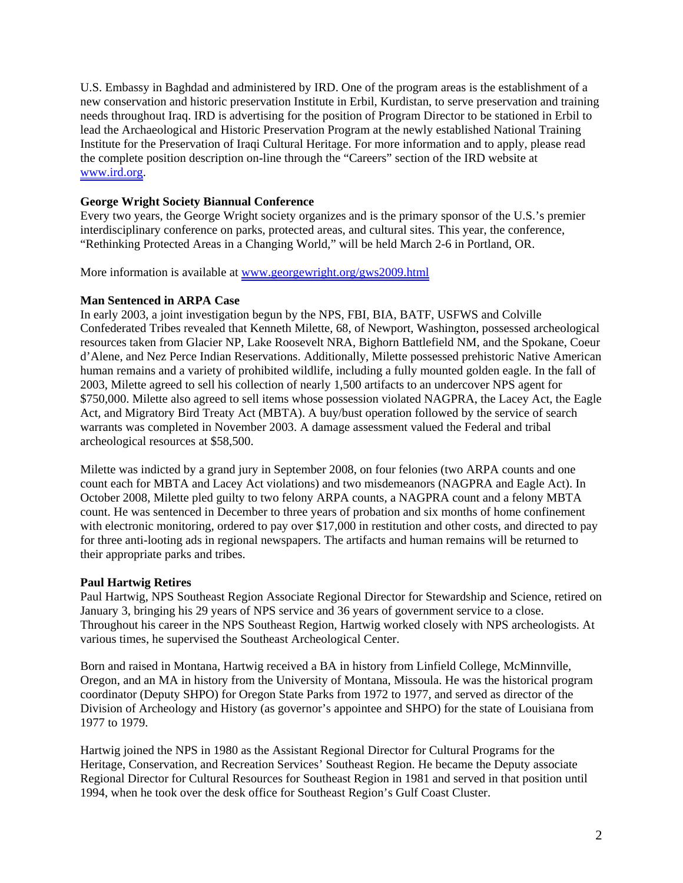U.S. Embassy in Baghdad and administered by IRD. One of the program areas is the establishment of a new conservation and historic preservation Institute in Erbil, Kurdistan, to serve preservation and training needs throughout Iraq. IRD is advertising for the position of Program Director to be stationed in Erbil to lead the Archaeological and Historic Preservation Program at the newly established National Training Institute for the Preservation of Iraqi Cultural Heritage. For more information and to apply, please read the complete position description on-line through the "Careers" section of the IRD website at <www.ird.org>.

## **George Wright Society Biannual Conference**

Every two years, the George Wright society organizes and is the primary sponsor of the U.S.'s premier interdisciplinary conference on parks, protected areas, and cultural sites. This year, the conference, "Rethinking Protected Areas in a Changing World," will be held March 2-6 in Portland, OR.

More information is available at<www.georgewright.org/gws2009.html>

# **Man Sentenced in ARPA Case**

In early 2003, a joint investigation begun by the NPS, FBI, BIA, BATF, USFWS and Colville Confederated Tribes revealed that Kenneth Milette, 68, of Newport, Washington, possessed archeological resources taken from Glacier NP, Lake Roosevelt NRA, Bighorn Battlefield NM, and the Spokane, Coeur d'Alene, and Nez Perce Indian Reservations. Additionally, Milette possessed prehistoric Native American human remains and a variety of prohibited wildlife, including a fully mounted golden eagle. In the fall of 2003, Milette agreed to sell his collection of nearly 1,500 artifacts to an undercover NPS agent for \$750,000. Milette also agreed to sell items whose possession violated NAGPRA, the Lacey Act, the Eagle Act, and Migratory Bird Treaty Act (MBTA). A buy/bust operation followed by the service of search warrants was completed in November 2003. A damage assessment valued the Federal and tribal archeological resources at \$58,500.

Milette was indicted by a grand jury in September 2008, on four felonies (two ARPA counts and one count each for MBTA and Lacey Act violations) and two misdemeanors (NAGPRA and Eagle Act). In October 2008, Milette pled guilty to two felony ARPA counts, a NAGPRA count and a felony MBTA count. He was sentenced in December to three years of probation and six months of home confinement with electronic monitoring, ordered to pay over \$17,000 in restitution and other costs, and directed to pay for three anti-looting ads in regional newspapers. The artifacts and human remains will be returned to their appropriate parks and tribes.

## **Paul Hartwig Retires**

Paul Hartwig, NPS Southeast Region Associate Regional Director for Stewardship and Science, retired on January 3, bringing his 29 years of NPS service and 36 years of government service to a close. Throughout his career in the NPS Southeast Region, Hartwig worked closely with NPS archeologists. At various times, he supervised the Southeast Archeological Center.

Born and raised in Montana, Hartwig received a BA in history from Linfield College, McMinnville, Oregon, and an MA in history from the University of Montana, Missoula. He was the historical program coordinator (Deputy SHPO) for Oregon State Parks from 1972 to 1977, and served as director of the Division of Archeology and History (as governor's appointee and SHPO) for the state of Louisiana from 1977 to 1979.

Hartwig joined the NPS in 1980 as the Assistant Regional Director for Cultural Programs for the Heritage, Conservation, and Recreation Services' Southeast Region. He became the Deputy associate Regional Director for Cultural Resources for Southeast Region in 1981 and served in that position until 1994, when he took over the desk office for Southeast Region's Gulf Coast Cluster.